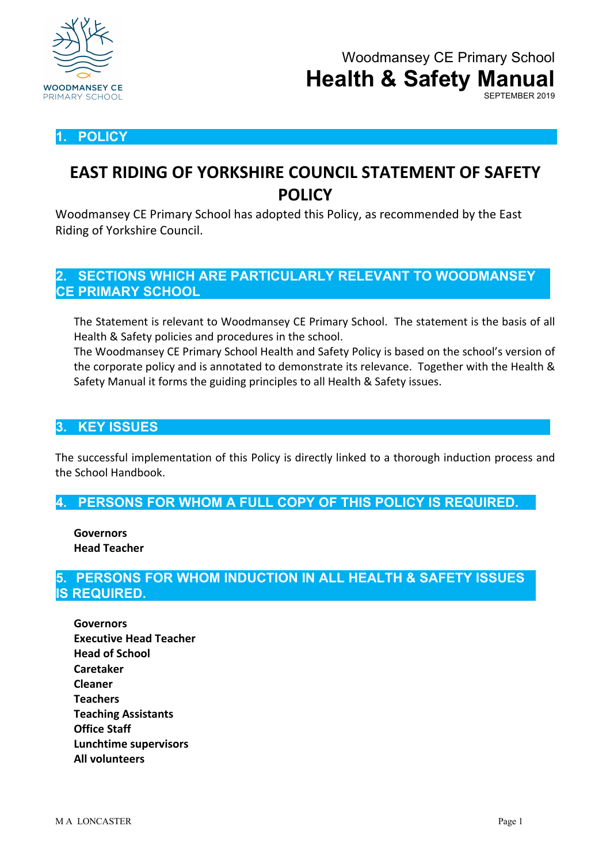

## **1. POLICY**

## **EAST RIDING OF YORKSHIRE COUNCIL STATEMENT OF SAFETY POLICY**

Woodmansey CE Primary School has adopted this Policy, as recommended by the East Riding of Yorkshire Council.

## **2. SECTIONS WHICH ARE PARTICULARLY RELEVANT TO WOODMANSEY CE PRIMARY SCHOOL**

The Statement is relevant to Woodmansey CE Primary School. The statement is the basis of all Health & Safety policies and procedures in the school.

The Woodmansey CE Primary School Health and Safety Policy is based on the school's version of the corporate policy and is annotated to demonstrate its relevance. Together with the Health & Safety Manual it forms the guiding principles to all Health & Safety issues.

## **3. KEY ISSUES**

The successful implementation of this Policy is directly linked to a thorough induction process and the School Handbook.

**4. PERSONS FOR WHOM A FULL COPY OF THIS POLICY IS REQUIRED.**

**Governors Head Teacher**

## **5. PERSONS FOR WHOM INDUCTION IN ALL HEALTH & SAFETY ISSUES IS REQUIRED.**

**Governors Executive Head Teacher Head of School Caretaker Cleaner Teachers Teaching Assistants Office Staff Lunchtime supervisors All volunteers**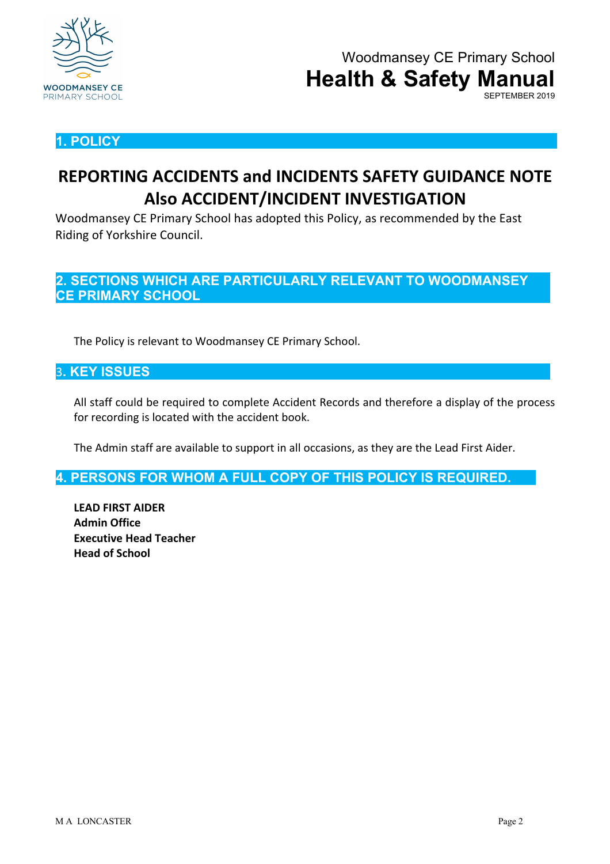

## **1. POLICY**

## **REPORTING ACCIDENTS and INCIDENTS SAFETY GUIDANCE NOTE Also ACCIDENT/INCIDENT INVESTIGATION**

Woodmansey CE Primary School has adopted this Policy, as recommended by the East Riding of Yorkshire Council.

**2. SECTIONS WHICH ARE PARTICULARLY RELEVANT TO WOODMANSEY CE PRIMARY SCHOOL**

The Policy is relevant to Woodmansey CE Primary School.

## 3**. KEY ISSUES**

All staff could be required to complete Accident Records and therefore a display of the process for recording is located with the accident book.

The Admin staff are available to support in all occasions, as they are the Lead First Aider.

**4. PERSONS FOR WHOM A FULL COPY OF THIS POLICY IS REQUIRED.**

**LEAD FIRST AIDER Admin Office Executive Head Teacher Head of School**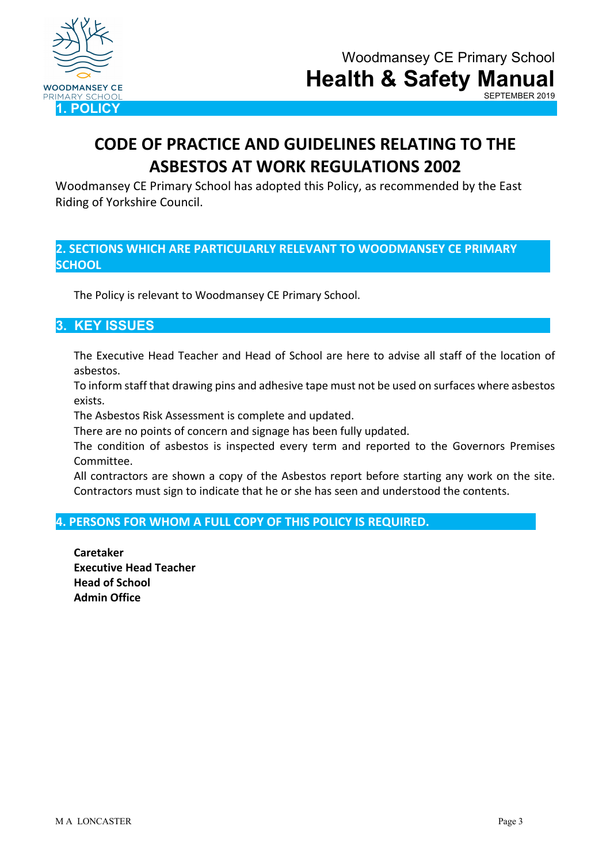

# **CODE OF PRACTICE AND GUIDELINES RELATING TO THE ASBESTOS AT WORK REGULATIONS 2002**

Woodmansey CE Primary School has adopted this Policy, as recommended by the East Riding of Yorkshire Council.

### **2. SECTIONS WHICH ARE PARTICULARLY RELEVANT TO WOODMANSEY CE PRIMARY SCHOOL**

The Policy is relevant to Woodmansey CE Primary School.

## **3. KEY ISSUES**

The Executive Head Teacher and Head of School are here to advise all staff of the location of asbestos.

To inform staff that drawing pins and adhesive tape must not be used on surfaces where asbestos exists.

The Asbestos Risk Assessment is complete and updated.

There are no points of concern and signage has been fully updated.

The condition of asbestos is inspected every term and reported to the Governors Premises Committee.

All contractors are shown a copy of the Asbestos report before starting any work on the site. Contractors must sign to indicate that he or she has seen and understood the contents.

#### **4. PERSONS FOR WHOM A FULL COPY OF THIS POLICY IS REQUIRED.**

**Caretaker Executive Head Teacher Head of School Admin Office**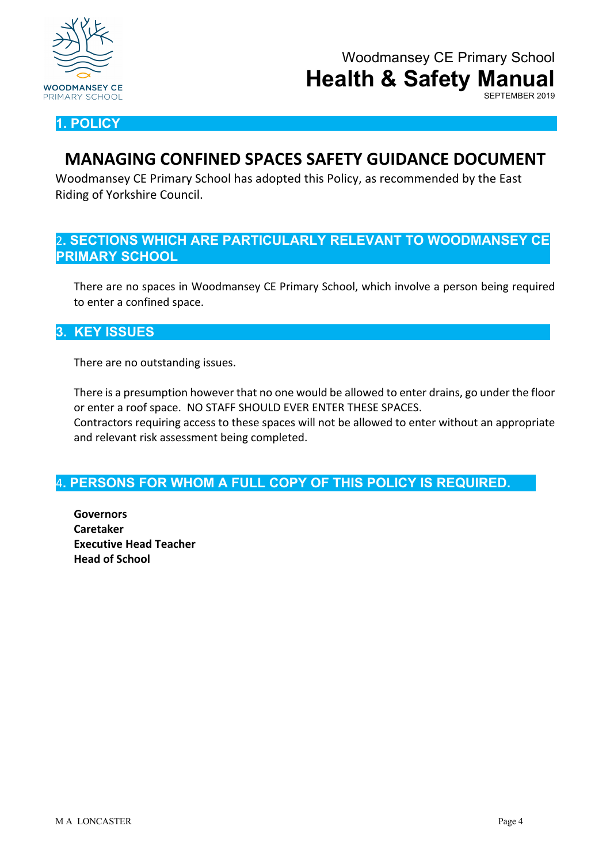

SEPTEMBER 2019

**1. POLICY**

## **MANAGING CONFINED SPACES SAFETY GUIDANCE DOCUMENT**

Woodmansey CE Primary School has adopted this Policy, as recommended by the East Riding of Yorkshire Council.

## 2**. SECTIONS WHICH ARE PARTICULARLY RELEVANT TO WOODMANSEY CE PRIMARY SCHOOL**

There are no spaces in Woodmansey CE Primary School, which involve a person being required to enter a confined space.

## **3. KEY ISSUES**

There are no outstanding issues.

There is a presumption however that no one would be allowed to enter drains, go under the floor or enter a roof space. NO STAFF SHOULD EVER ENTER THESE SPACES.

Contractors requiring access to these spaces will not be allowed to enter without an appropriate and relevant risk assessment being completed.

## 4**. PERSONS FOR WHOM A FULL COPY OF THIS POLICY IS REQUIRED.**

**Governors Caretaker Executive Head Teacher Head of School**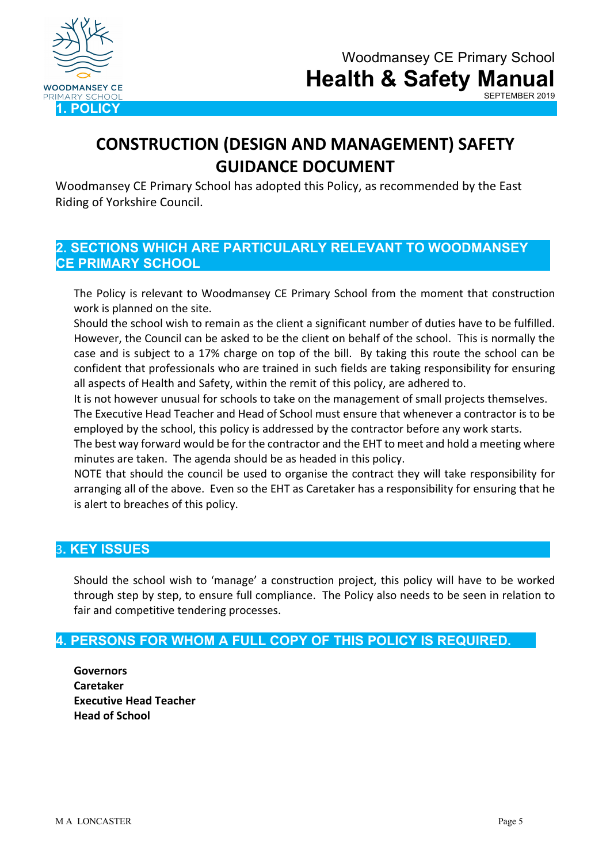

# **CONSTRUCTION (DESIGN AND MANAGEMENT) SAFETY GUIDANCE DOCUMENT**

Woodmansey CE Primary School has adopted this Policy, as recommended by the East Riding of Yorkshire Council.

## **2. SECTIONS WHICH ARE PARTICULARLY RELEVANT TO WOODMANSEY CE PRIMARY SCHOOL**

The Policy is relevant to Woodmansey CE Primary School from the moment that construction work is planned on the site.

Should the school wish to remain as the client a significant number of duties have to be fulfilled. However, the Council can be asked to be the client on behalf of the school. This is normally the case and is subject to a 17% charge on top of the bill. By taking this route the school can be confident that professionals who are trained in such fields are taking responsibility for ensuring all aspects of Health and Safety, within the remit of this policy, are adhered to.

It is not however unusual for schools to take on the management of small projects themselves. The Executive Head Teacher and Head of School must ensure that whenever a contractor is to be

employed by the school, this policy is addressed by the contractor before any work starts. The best way forward would be for the contractor and the EHT to meet and hold a meeting where

minutes are taken. The agenda should be as headed in this policy.

NOTE that should the council be used to organise the contract they will take responsibility for arranging all of the above. Even so the EHT as Caretaker has a responsibility for ensuring that he is alert to breaches of this policy.

## 3**. KEY ISSUES**

Should the school wish to 'manage' a construction project, this policy will have to be worked through step by step, to ensure full compliance. The Policy also needs to be seen in relation to fair and competitive tendering processes.

## **4. PERSONS FOR WHOM A FULL COPY OF THIS POLICY IS REQUIRED.**

**Governors Caretaker Executive Head Teacher Head of School**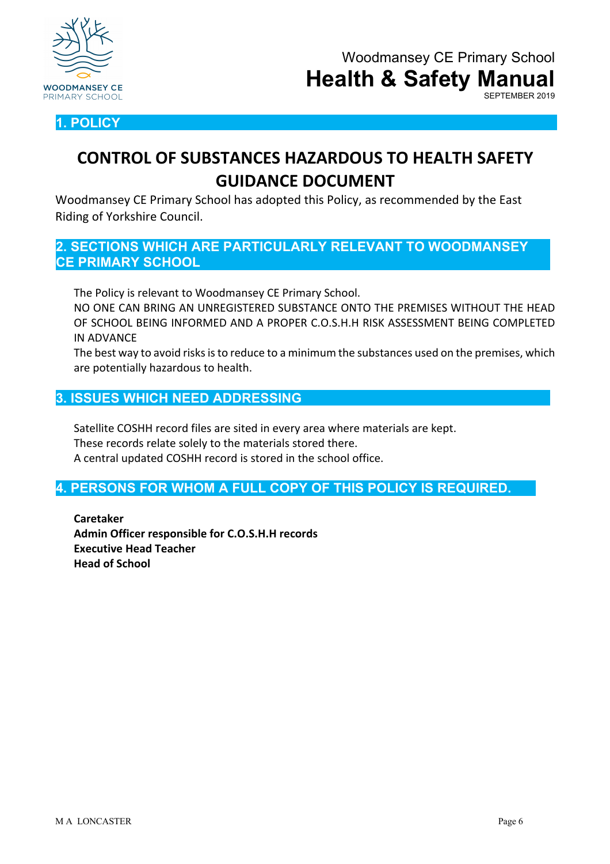



**CONTROL OF SUBSTANCES HAZARDOUS TO HEALTH SAFETY GUIDANCE DOCUMENT**

Woodmansey CE Primary School has adopted this Policy, as recommended by the East Riding of Yorkshire Council.

**2. SECTIONS WHICH ARE PARTICULARLY RELEVANT TO WOODMANSEY CE PRIMARY SCHOOL**

The Policy is relevant to Woodmansey CE Primary School.

NO ONE CAN BRING AN UNREGISTERED SUBSTANCE ONTO THE PREMISES WITHOUT THE HEAD OF SCHOOL BEING INFORMED AND A PROPER C.O.S.H.H RISK ASSESSMENT BEING COMPLETED IN ADVANCE

The best way to avoid risks is to reduce to a minimum the substances used on the premises, which are potentially hazardous to health.

### **3. ISSUES WHICH NEED ADDRESSING**

Satellite COSHH record files are sited in every area where materials are kept. These records relate solely to the materials stored there. A central updated COSHH record is stored in the school office.

## **4. PERSONS FOR WHOM A FULL COPY OF THIS POLICY IS REQUIRED.**

**Caretaker Admin Officer responsible for C.O.S.H.H records Executive Head Teacher Head of School**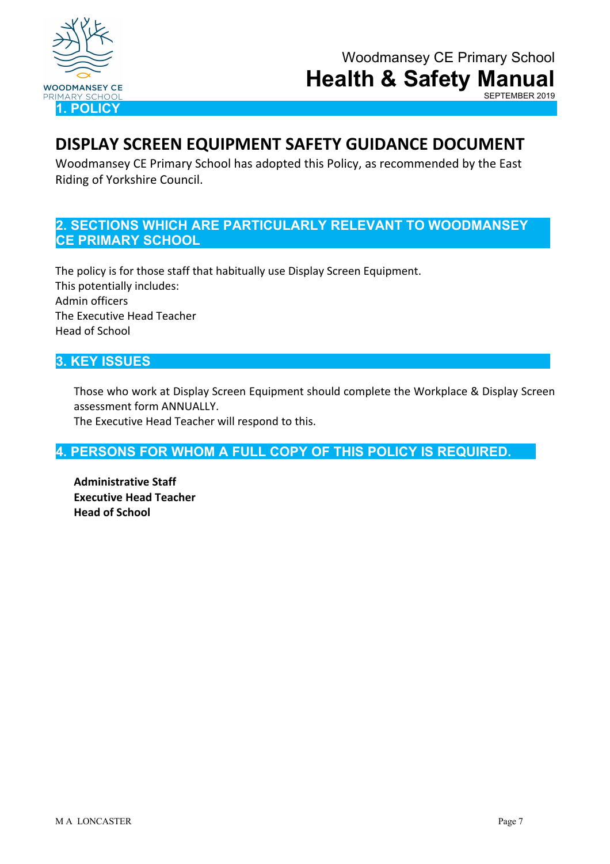

## **DISPLAY SCREEN EQUIPMENT SAFETY GUIDANCE DOCUMENT**

Woodmansey CE Primary School has adopted this Policy, as recommended by the East Riding of Yorkshire Council.

## **2. SECTIONS WHICH ARE PARTICULARLY RELEVANT TO WOODMANSEY CE PRIMARY SCHOOL**

The policy is for those staff that habitually use Display Screen Equipment. This potentially includes: Admin officers The Executive Head Teacher Head of School

## **3. KEY ISSUES**

Those who work at Display Screen Equipment should complete the Workplace & Display Screen assessment form ANNUALLY.

The Executive Head Teacher will respond to this.

## **4. PERSONS FOR WHOM A FULL COPY OF THIS POLICY IS REQUIRED.**

**Administrative Staff Executive Head Teacher Head of School**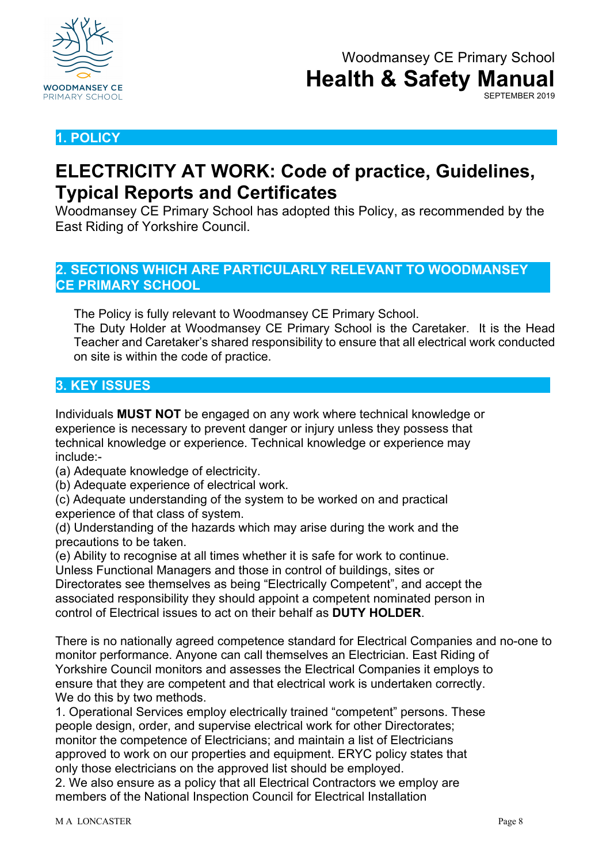

## **1. POLICY**

## **ELECTRICITY AT WORK: Code of practice, Guidelines, Typical Reports and Certificates**

Woodmansey CE Primary School has adopted this Policy, as recommended by the East Riding of Yorkshire Council.

## **2. SECTIONS WHICH ARE PARTICULARLY RELEVANT TO WOODMANSEY CE PRIMARY SCHOOL**

The Policy is fully relevant to Woodmansey CE Primary School.

The Duty Holder at Woodmansey CE Primary School is the Caretaker. It is the Head Teacher and Caretaker's shared responsibility to ensure that all electrical work conducted on site is within the code of practice.

## **3. KEY ISSUES**

Individuals **MUST NOT** be engaged on any work where technical knowledge or experience is necessary to prevent danger or injury unless they possess that technical knowledge or experience. Technical knowledge or experience may include:-

(a) Adequate knowledge of electricity.

(b) Adequate experience of electrical work.

(c) Adequate understanding of the system to be worked on and practical experience of that class of system.

(d) Understanding of the hazards which may arise during the work and the precautions to be taken.

(e) Ability to recognise at all times whether it is safe for work to continue.

Unless Functional Managers and those in control of buildings, sites or

Directorates see themselves as being "Electrically Competent", and accept the associated responsibility they should appoint a competent nominated person in control of Electrical issues to act on their behalf as **DUTY HOLDER**.

There is no nationally agreed competence standard for Electrical Companies and no-one to monitor performance. Anyone can call themselves an Electrician. East Riding of Yorkshire Council monitors and assesses the Electrical Companies it employs to ensure that they are competent and that electrical work is undertaken correctly. We do this by two methods.

1. Operational Services employ electrically trained "competent" persons. These people design, order, and supervise electrical work for other Directorates; monitor the competence of Electricians; and maintain a list of Electricians approved to work on our properties and equipment. ERYC policy states that only those electricians on the approved list should be employed.

2. We also ensure as a policy that all Electrical Contractors we employ are members of the National Inspection Council for Electrical Installation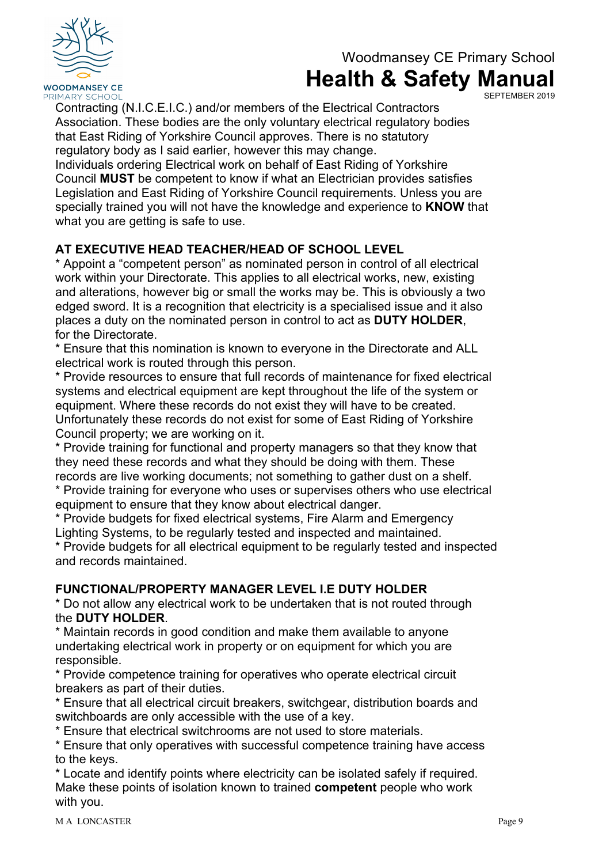

SEPTEMBER 2019

Contracting (N.I.C.E.I.C.) and/or members of the Electrical Contractors Association. These bodies are the only voluntary electrical regulatory bodies that East Riding of Yorkshire Council approves. There is no statutory regulatory body as I said earlier, however this may change.

Individuals ordering Electrical work on behalf of East Riding of Yorkshire Council **MUST** be competent to know if what an Electrician provides satisfies Legislation and East Riding of Yorkshire Council requirements. Unless you are specially trained you will not have the knowledge and experience to **KNOW** that what you are getting is safe to use.

## **AT EXECUTIVE HEAD TEACHER/HEAD OF SCHOOL LEVEL**

\* Appoint a "competent person" as nominated person in control of all electrical work within your Directorate. This applies to all electrical works, new, existing and alterations, however big or small the works may be. This is obviously a two edged sword. It is a recognition that electricity is a specialised issue and it also places a duty on the nominated person in control to act as **DUTY HOLDER**, for the Directorate.

\* Ensure that this nomination is known to everyone in the Directorate and ALL electrical work is routed through this person.

\* Provide resources to ensure that full records of maintenance for fixed electrical systems and electrical equipment are kept throughout the life of the system or equipment. Where these records do not exist they will have to be created. Unfortunately these records do not exist for some of East Riding of Yorkshire Council property; we are working on it.

\* Provide training for functional and property managers so that they know that they need these records and what they should be doing with them. These records are live working documents; not something to gather dust on a shelf.

\* Provide training for everyone who uses or supervises others who use electrical equipment to ensure that they know about electrical danger.

\* Provide budgets for fixed electrical systems, Fire Alarm and Emergency Lighting Systems, to be regularly tested and inspected and maintained.

\* Provide budgets for all electrical equipment to be regularly tested and inspected and records maintained.

## **FUNCTIONAL/PROPERTY MANAGER LEVEL I.E DUTY HOLDER**

\* Do not allow any electrical work to be undertaken that is not routed through the **DUTY HOLDER**.

\* Maintain records in good condition and make them available to anyone undertaking electrical work in property or on equipment for which you are responsible.

\* Provide competence training for operatives who operate electrical circuit breakers as part of their duties.

\* Ensure that all electrical circuit breakers, switchgear, distribution boards and switchboards are only accessible with the use of a key.

\* Ensure that electrical switchrooms are not used to store materials.

\* Ensure that only operatives with successful competence training have access to the keys.

\* Locate and identify points where electricity can be isolated safely if required. Make these points of isolation known to trained **competent** people who work with you.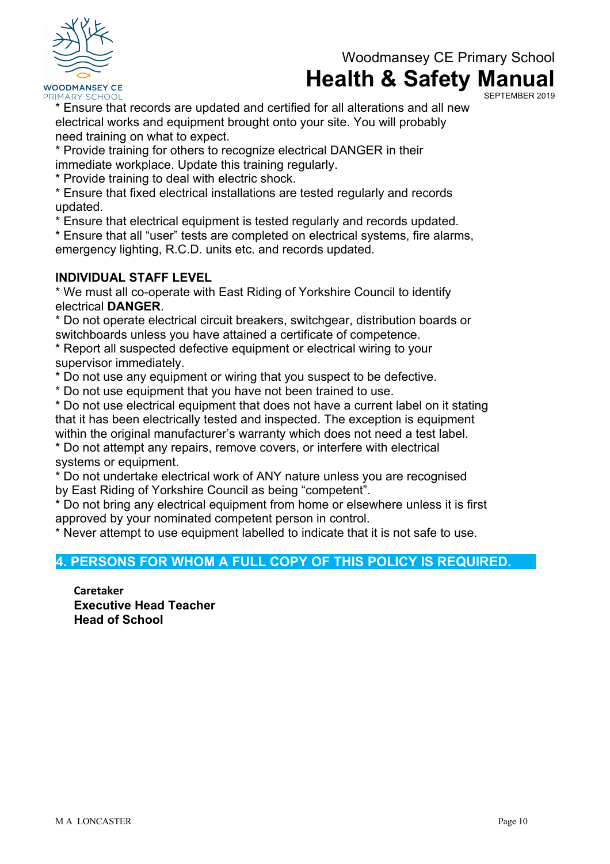

SEPTEMBER 2019

\* Ensure that records are updated and certified for all alterations and all new electrical works and equipment brought onto your site. You will probably need training on what to expect.

\* Provide training for others to recognize electrical DANGER in their immediate workplace. Update this training regularly.

\* Provide training to deal with electric shock.

\* Ensure that fixed electrical installations are tested regularly and records updated.

\* Ensure that electrical equipment is tested regularly and records updated.

\* Ensure that all "user" tests are completed on electrical systems, fire alarms, emergency lighting, R.C.D. units etc. and records updated.

## **INDIVIDUAL STAFF LEVEL**

\* We must all co-operate with East Riding of Yorkshire Council to identify electrical **DANGER**.

\* Do not operate electrical circuit breakers, switchgear, distribution boards or switchboards unless you have attained a certificate of competence.

\* Report all suspected defective equipment or electrical wiring to your supervisor immediately.

\* Do not use any equipment or wiring that you suspect to be defective.

\* Do not use equipment that you have not been trained to use.

\* Do not use electrical equipment that does not have a current label on it stating that it has been electrically tested and inspected. The exception is equipment within the original manufacturer's warranty which does not need a test label.

\* Do not attempt any repairs, remove covers, or interfere with electrical systems or equipment.

\* Do not undertake electrical work of ANY nature unless you are recognised by East Riding of Yorkshire Council as being "competent".

\* Do not bring any electrical equipment from home or elsewhere unless it is first approved by your nominated competent person in control.

\* Never attempt to use equipment labelled to indicate that it is not safe to use.

## **4. PERSONS FOR WHOM A FULL COPY OF THIS POLICY IS REQUIRED.**

**Caretaker Executive Head Teacher Head of School**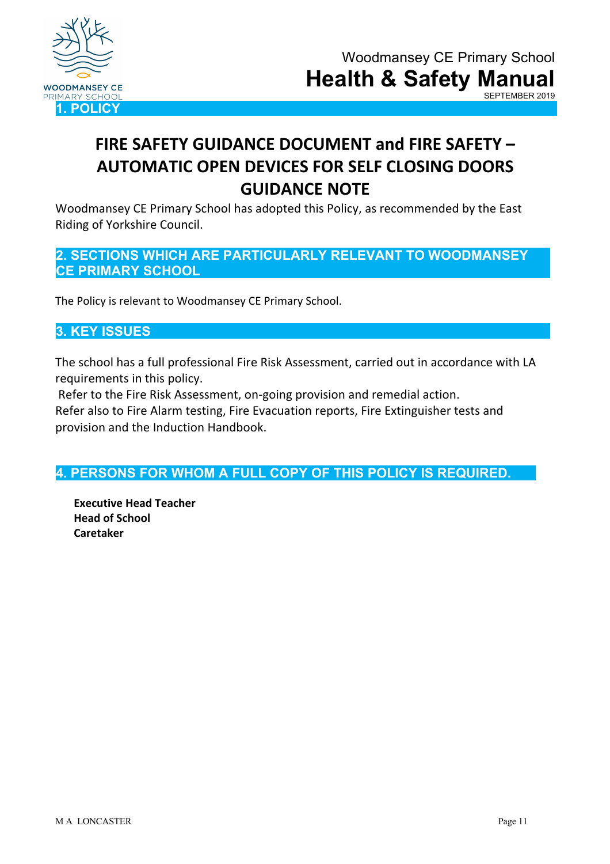

# **FIRE SAFETY GUIDANCE DOCUMENT and FIRE SAFETY – AUTOMATIC OPEN DEVICES FOR SELF CLOSING DOORS GUIDANCE NOTE**

Woodmansey CE Primary School has adopted this Policy, as recommended by the East Riding of Yorkshire Council.

## **2. SECTIONS WHICH ARE PARTICULARLY RELEVANT TO WOODMANSEY CE PRIMARY SCHOOL**

The Policy is relevant to Woodmansey CE Primary School.

## **3. KEY ISSUES**

The school has a full professional Fire Risk Assessment, carried out in accordance with LA requirements in this policy.

Refer to the Fire Risk Assessment, on-going provision and remedial action.

Refer also to Fire Alarm testing, Fire Evacuation reports, Fire Extinguisher tests and provision and the Induction Handbook.

## **4. PERSONS FOR WHOM A FULL COPY OF THIS POLICY IS REQUIRED.**

**Executive Head Teacher Head of School Caretaker**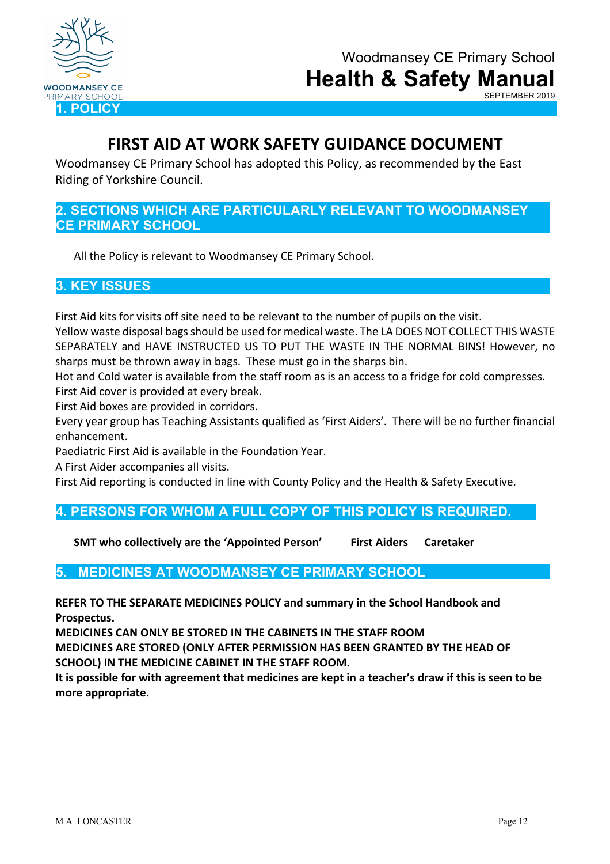

## **FIRST AID AT WORK SAFETY GUIDANCE DOCUMENT**

Woodmansey CE Primary School has adopted this Policy, as recommended by the East Riding of Yorkshire Council.

## **2. SECTIONS WHICH ARE PARTICULARLY RELEVANT TO WOODMANSEY CE PRIMARY SCHOOL**

All the Policy is relevant to Woodmansey CE Primary School.

## **3. KEY ISSUES**

First Aid kits for visits off site need to be relevant to the number of pupils on the visit.

Yellow waste disposal bags should be used for medical waste. The LA DOES NOT COLLECT THIS WASTE SEPARATELY and HAVE INSTRUCTED US TO PUT THE WASTE IN THE NORMAL BINS! However, no sharps must be thrown away in bags. These must go in the sharps bin.

Hot and Cold water is available from the staff room as is an access to a fridge for cold compresses. First Aid cover is provided at every break.

First Aid boxes are provided in corridors.

Every year group has Teaching Assistants qualified as 'First Aiders'. There will be no further financial enhancement.

Paediatric First Aid is available in the Foundation Year.

A First Aider accompanies all visits.

First Aid reporting is conducted in line with County Policy and the Health & Safety Executive.

## **4. PERSONS FOR WHOM A FULL COPY OF THIS POLICY IS REQUIRED.**

**SMT who collectively are the 'Appointed Person' First Aiders Caretaker**

## **5. MEDICINES AT WOODMANSEY CE PRIMARY SCHOOL**

**REFER TO THE SEPARATE MEDICINES POLICY and summary in the School Handbook and Prospectus.**

**MEDICINES CAN ONLY BE STORED IN THE CABINETS IN THE STAFF ROOM**

**MEDICINES ARE STORED (ONLY AFTER PERMISSION HAS BEEN GRANTED BY THE HEAD OF SCHOOL) IN THE MEDICINE CABINET IN THE STAFF ROOM.** 

**It is possible for with agreement that medicines are kept in a teacher's draw if this is seen to be more appropriate.**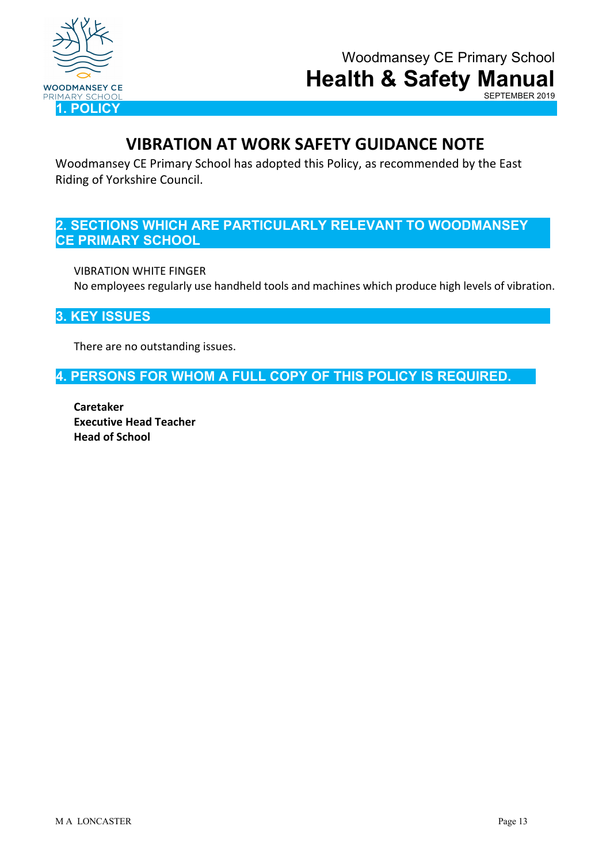

SEPTEMBER 2019

## **VIBRATION AT WORK SAFETY GUIDANCE NOTE**

Woodmansey CE Primary School has adopted this Policy, as recommended by the East Riding of Yorkshire Council.

## **2. SECTIONS WHICH ARE PARTICULARLY RELEVANT TO WOODMANSEY CE PRIMARY SCHOOL**

VIBRATION WHITE FINGER No employees regularly use handheld tools and machines which produce high levels of vibration.

## **3. KEY ISSUES**

There are no outstanding issues.

**4. PERSONS FOR WHOM A FULL COPY OF THIS POLICY IS REQUIRED.**

**Caretaker Executive Head Teacher Head of School**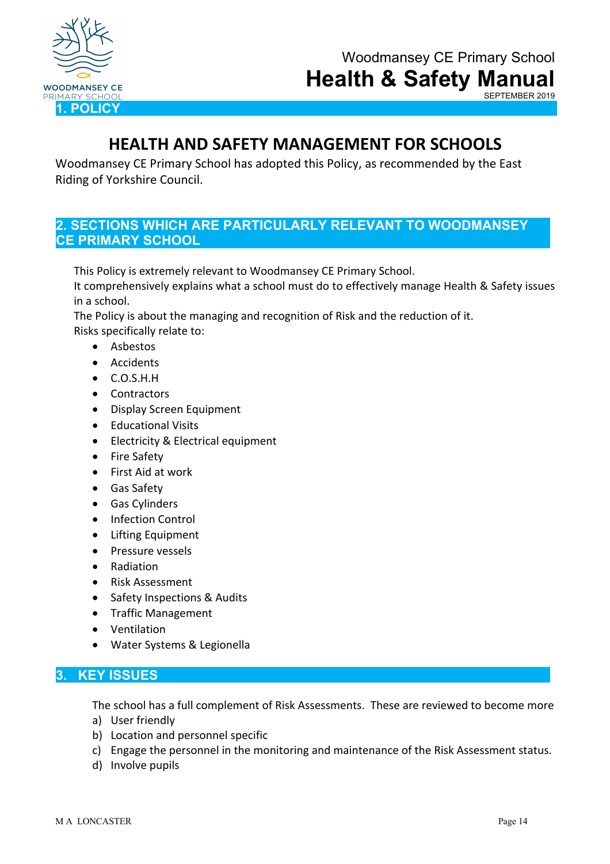

SEPTEMBER 2019

## **HEALTH AND SAFETY MANAGEMENT FOR SCHOOLS**

Woodmansey CE Primary School has adopted this Policy, as recommended by the East Riding of Yorkshire Council.

## **2. SECTIONS WHICH ARE PARTICULARLY RELEVANT TO WOODMANSEY CE PRIMARY SCHOOL**

This Policy is extremely relevant to Woodmansey CE Primary School.

It comprehensively explains what a school must do to effectively manage Health & Safety issues in a school.

The Policy is about the managing and recognition of Risk and the reduction of it. Risks specifically relate to:

• Asbestos

- Accidents
- C.O.S.H.H
- Contractors
- Display Screen Equipment
- Educational Visits
- Electricity & Electrical equipment
- Fire Safety
- First Aid at work
- Gas Safety
- Gas Cylinders
- Infection Control
- Lifting Equipment
- Pressure vessels
- Radiation
- Risk Assessment
- Safety Inspections & Audits
- Traffic Management
- Ventilation
- Water Systems & Legionella

#### **3. KEY ISSUES**

The school has a full complement of Risk Assessments. These are reviewed to become more a) User friendly

- b) Location and personnel specific
- c) Engage the personnel in the monitoring and maintenance of the Risk Assessment status.
- d) Involve pupils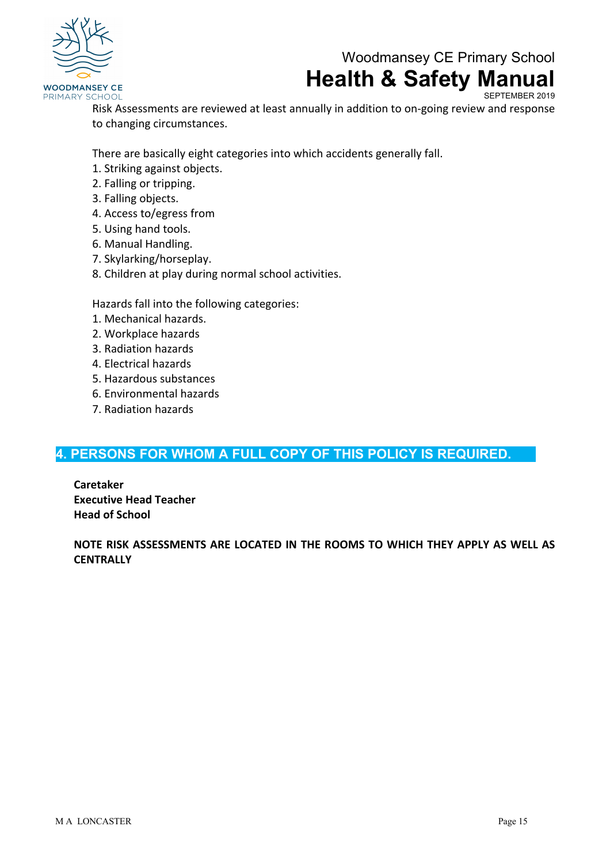

SEPTEMBER 2019

Risk Assessments are reviewed at least annually in addition to on-going review and response to changing circumstances.

There are basically eight categories into which accidents generally fall.

- 1. Striking against objects.
- 2. Falling or tripping.
- 3. Falling objects.
- 4. Access to/egress from
- 5. Using hand tools.
- 6. Manual Handling.
- 7. Skylarking/horseplay.
- 8. Children at play during normal school activities.

Hazards fall into the following categories:

- 1. Mechanical hazards.
- 2. Workplace hazards
- 3. Radiation hazards
- 4. Electrical hazards
- 5. Hazardous substances
- 6. Environmental hazards
- 7. Radiation hazards

## **4. PERSONS FOR WHOM A FULL COPY OF THIS POLICY IS REQUIRED.**

**Caretaker Executive Head Teacher Head of School**

**NOTE RISK ASSESSMENTS ARE LOCATED IN THE ROOMS TO WHICH THEY APPLY AS WELL AS CENTRALLY**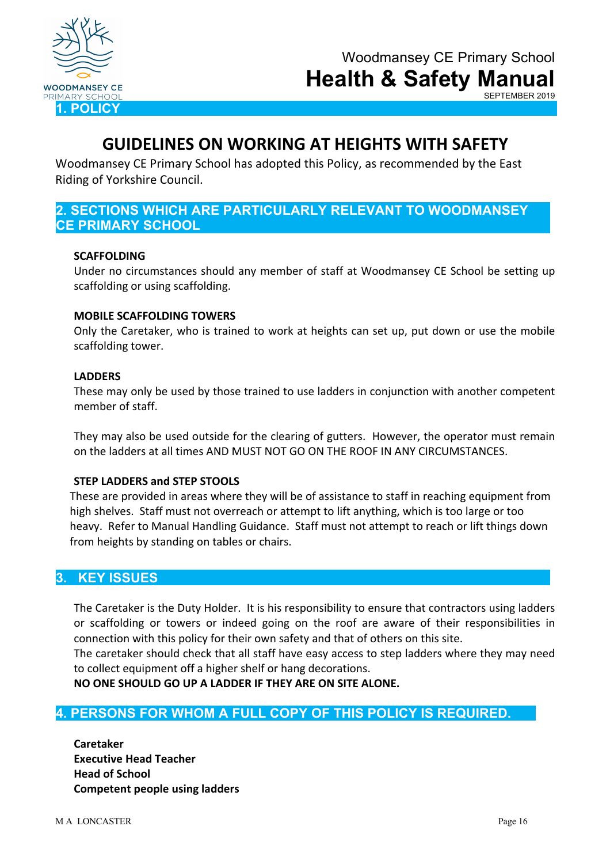

SEPTEMBER 2019

## **GUIDELINES ON WORKING AT HEIGHTS WITH SAFETY**

Woodmansey CE Primary School has adopted this Policy, as recommended by the East Riding of Yorkshire Council.

## **2. SECTIONS WHICH ARE PARTICULARLY RELEVANT TO WOODMANSEY CE PRIMARY SCHOOL**

#### **SCAFFOLDING**

Under no circumstances should any member of staff at Woodmansey CE School be setting up scaffolding or using scaffolding.

#### **MOBILE SCAFFOLDING TOWERS**

Only the Caretaker, who is trained to work at heights can set up, put down or use the mobile scaffolding tower.

#### **LADDERS**

These may only be used by those trained to use ladders in conjunction with another competent member of staff.

They may also be used outside for the clearing of gutters. However, the operator must remain on the ladders at all times AND MUST NOT GO ON THE ROOF IN ANY CIRCUMSTANCES.

#### **STEP LADDERS and STEP STOOLS**

These are provided in areas where they will be of assistance to staff in reaching equipment from high shelves. Staff must not overreach or attempt to lift anything, which is too large or too heavy. Refer to Manual Handling Guidance. Staff must not attempt to reach or lift things down from heights by standing on tables or chairs.

#### **3. KEY ISSUES**

The Caretaker is the Duty Holder. It is his responsibility to ensure that contractors using ladders or scaffolding or towers or indeed going on the roof are aware of their responsibilities in connection with this policy for their own safety and that of others on this site.

The caretaker should check that all staff have easy access to step ladders where they may need to collect equipment off a higher shelf or hang decorations.

**NO ONE SHOULD GO UP A LADDER IF THEY ARE ON SITE ALONE.**

#### **4. PERSONS FOR WHOM A FULL COPY OF THIS POLICY IS REQUIRED.**

**Caretaker Executive Head Teacher Head of School Competent people using ladders**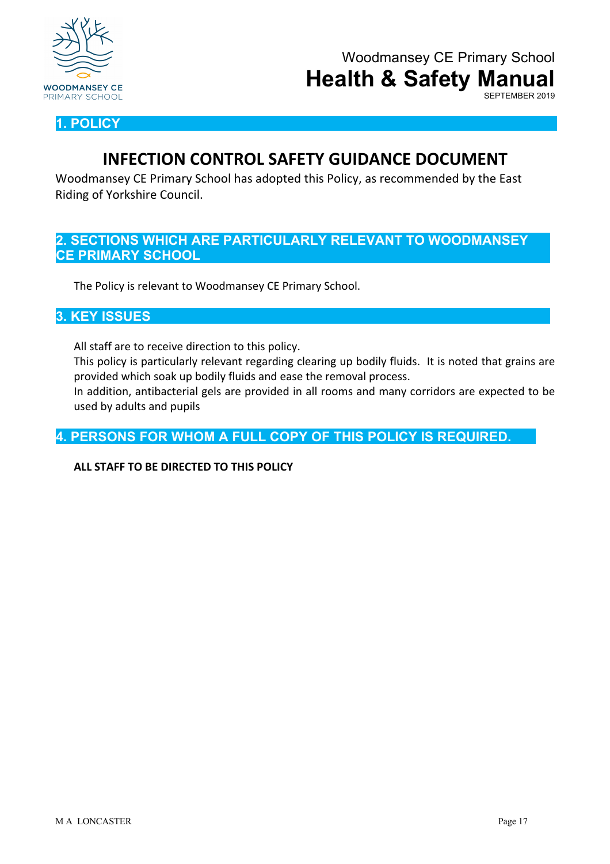

SEPTEMBER 2019

**1. POLICY**

## **INFECTION CONTROL SAFETY GUIDANCE DOCUMENT**

Woodmansey CE Primary School has adopted this Policy, as recommended by the East Riding of Yorkshire Council.

## **2. SECTIONS WHICH ARE PARTICULARLY RELEVANT TO WOODMANSEY CE PRIMARY SCHOOL**

The Policy is relevant to Woodmansey CE Primary School.

#### **3. KEY ISSUES**

All staff are to receive direction to this policy.

This policy is particularly relevant regarding clearing up bodily fluids. It is noted that grains are provided which soak up bodily fluids and ease the removal process.

In addition, antibacterial gels are provided in all rooms and many corridors are expected to be used by adults and pupils

**4. PERSONS FOR WHOM A FULL COPY OF THIS POLICY IS REQUIRED.**

#### **ALL STAFF TO BE DIRECTED TO THIS POLICY**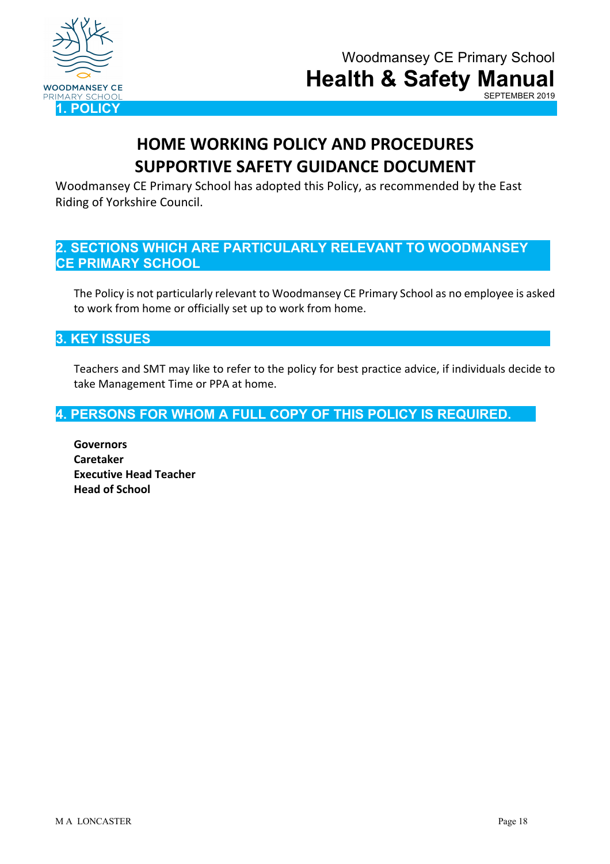

# **HOME WORKING POLICY AND PROCEDURES SUPPORTIVE SAFETY GUIDANCE DOCUMENT**

Woodmansey CE Primary School has adopted this Policy, as recommended by the East Riding of Yorkshire Council.

## **2. SECTIONS WHICH ARE PARTICULARLY RELEVANT TO WOODMANSEY CE PRIMARY SCHOOL**

The Policy is not particularly relevant to Woodmansey CE Primary School as no employee is asked to work from home or officially set up to work from home.

## **3. KEY ISSUES**

Teachers and SMT may like to refer to the policy for best practice advice, if individuals decide to take Management Time or PPA at home.

## **4. PERSONS FOR WHOM A FULL COPY OF THIS POLICY IS REQUIRED.**

**Governors Caretaker Executive Head Teacher Head of School**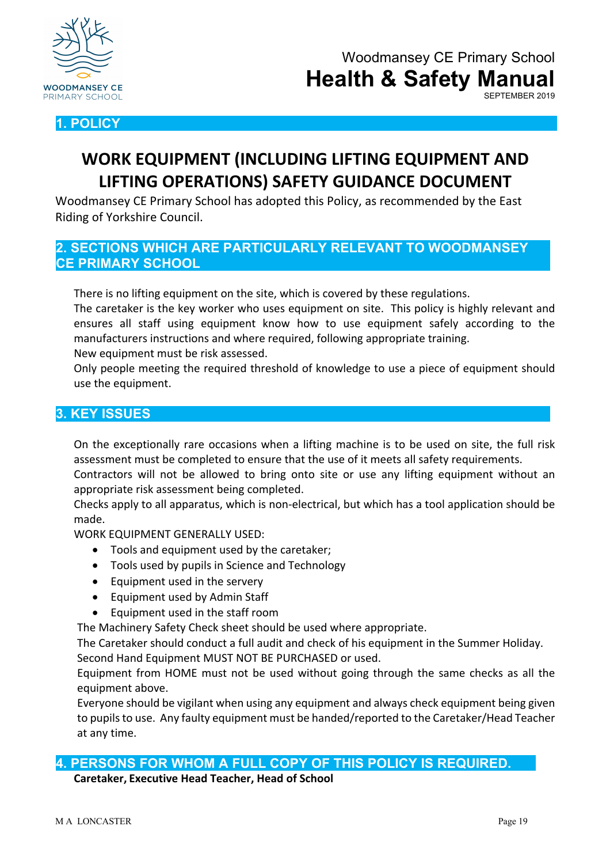



# **WORK EQUIPMENT (INCLUDING LIFTING EQUIPMENT AND LIFTING OPERATIONS) SAFETY GUIDANCE DOCUMENT**

Woodmansey CE Primary School has adopted this Policy, as recommended by the East Riding of Yorkshire Council.

**2. SECTIONS WHICH ARE PARTICULARLY RELEVANT TO WOODMANSEY CE PRIMARY SCHOOL**

There is no lifting equipment on the site, which is covered by these regulations.

The caretaker is the key worker who uses equipment on site. This policy is highly relevant and ensures all staff using equipment know how to use equipment safely according to the manufacturers instructions and where required, following appropriate training.

New equipment must be risk assessed.

Only people meeting the required threshold of knowledge to use a piece of equipment should use the equipment.

## **3. KEY ISSUES**

On the exceptionally rare occasions when a lifting machine is to be used on site, the full risk assessment must be completed to ensure that the use of it meets all safety requirements.

Contractors will not be allowed to bring onto site or use any lifting equipment without an appropriate risk assessment being completed.

Checks apply to all apparatus, which is non-electrical, but which has a tool application should be made.

WORK EQUIPMENT GENERALLY USED:

- Tools and equipment used by the caretaker;
- Tools used by pupils in Science and Technology
- Equipment used in the servery
- Equipment used by Admin Staff
- Equipment used in the staff room

The Machinery Safety Check sheet should be used where appropriate.

The Caretaker should conduct a full audit and check of his equipment in the Summer Holiday. Second Hand Equipment MUST NOT BE PURCHASED or used.

Equipment from HOME must not be used without going through the same checks as all the equipment above.

Everyone should be vigilant when using any equipment and always check equipment being given to pupils to use. Any faulty equipment must be handed/reported to the Caretaker/Head Teacher at any time.

#### **4. PERSONS FOR WHOM A FULL COPY OF THIS POLICY IS REQUIRED.**

**Caretaker, Executive Head Teacher, Head of School**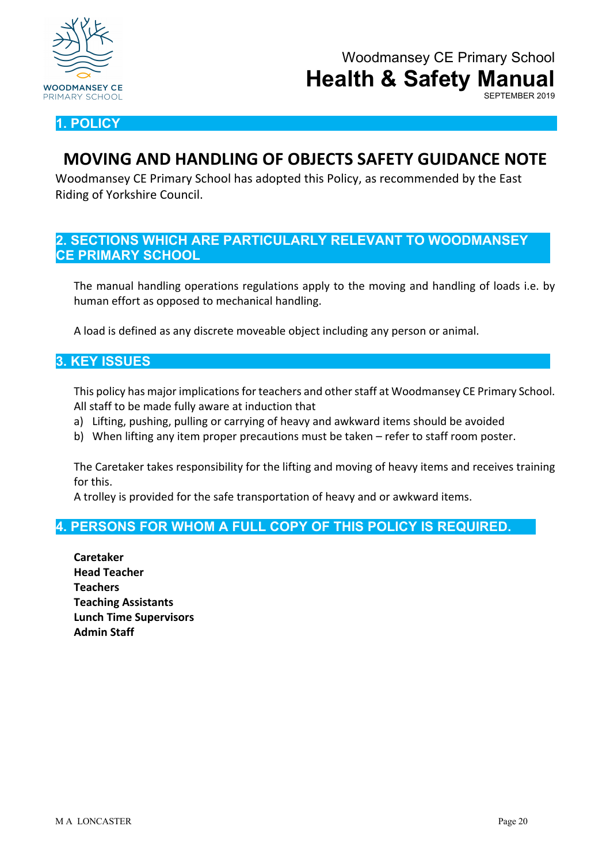

### **1. POLICY**

## **MOVING AND HANDLING OF OBJECTS SAFETY GUIDANCE NOTE**

Woodmansey CE Primary School has adopted this Policy, as recommended by the East Riding of Yorkshire Council.

### **2. SECTIONS WHICH ARE PARTICULARLY RELEVANT TO WOODMANSEY CE PRIMARY SCHOOL**

The manual handling operations regulations apply to the moving and handling of loads i.e. by human effort as opposed to mechanical handling.

A load is defined as any discrete moveable object including any person or animal.

#### **3. KEY ISSUES**

This policy has major implications for teachers and other staff at Woodmansey CE Primary School. All staff to be made fully aware at induction that

- a) Lifting, pushing, pulling or carrying of heavy and awkward items should be avoided
- b) When lifting any item proper precautions must be taken refer to staff room poster.

The Caretaker takes responsibility for the lifting and moving of heavy items and receives training for this.

A trolley is provided for the safe transportation of heavy and or awkward items.

## **4. PERSONS FOR WHOM A FULL COPY OF THIS POLICY IS REQUIRED.**

**Caretaker Head Teacher Teachers Teaching Assistants Lunch Time Supervisors Admin Staff**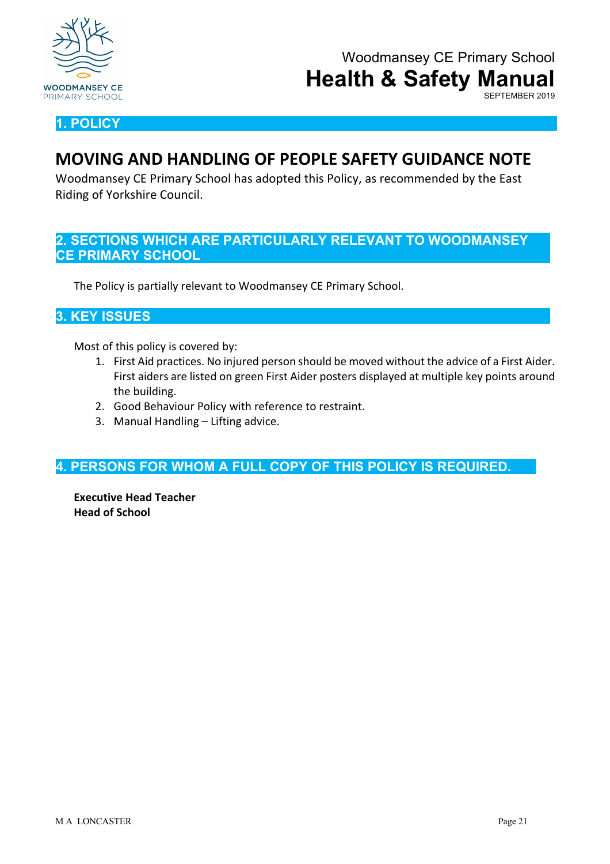

SEPTEMBER 2019

**1. POLICY**

## **MOVING AND HANDLING OF PEOPLE SAFETY GUIDANCE NOTE**

Woodmansey CE Primary School has adopted this Policy, as recommended by the East Riding of Yorkshire Council.

### **2. SECTIONS WHICH ARE PARTICULARLY RELEVANT TO WOODMANSEY CE PRIMARY SCHOOL**

The Policy is partially relevant to Woodmansey CE Primary School.

#### **3. KEY ISSUES**

Most of this policy is covered by:

- 1. First Aid practices. No injured person should be moved without the advice of a First Aider. First aiders are listed on green First Aider posters displayed at multiple key points around the building.
- 2. Good Behaviour Policy with reference to restraint.
- 3. Manual Handling Lifting advice.

**4. PERSONS FOR WHOM A FULL COPY OF THIS POLICY IS REQUIRED.**

**Executive Head Teacher Head of School**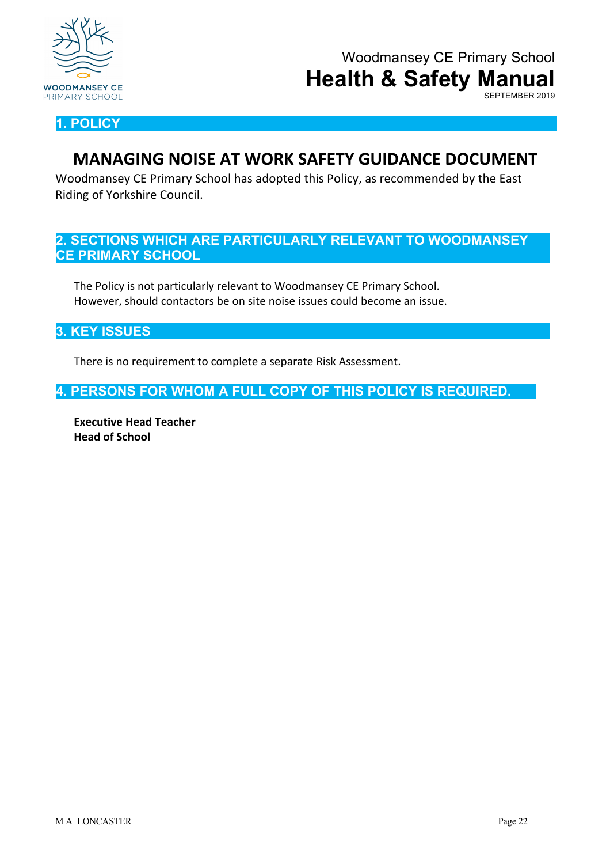

SEPTEMBER 2019

**1. POLICY**

## **MANAGING NOISE AT WORK SAFETY GUIDANCE DOCUMENT**

Woodmansey CE Primary School has adopted this Policy, as recommended by the East Riding of Yorkshire Council.

## **2. SECTIONS WHICH ARE PARTICULARLY RELEVANT TO WOODMANSEY CE PRIMARY SCHOOL**

The Policy is not particularly relevant to Woodmansey CE Primary School. However, should contactors be on site noise issues could become an issue.

**3. KEY ISSUES**

There is no requirement to complete a separate Risk Assessment.

**4. PERSONS FOR WHOM A FULL COPY OF THIS POLICY IS REQUIRED.**

**Executive Head Teacher Head of School**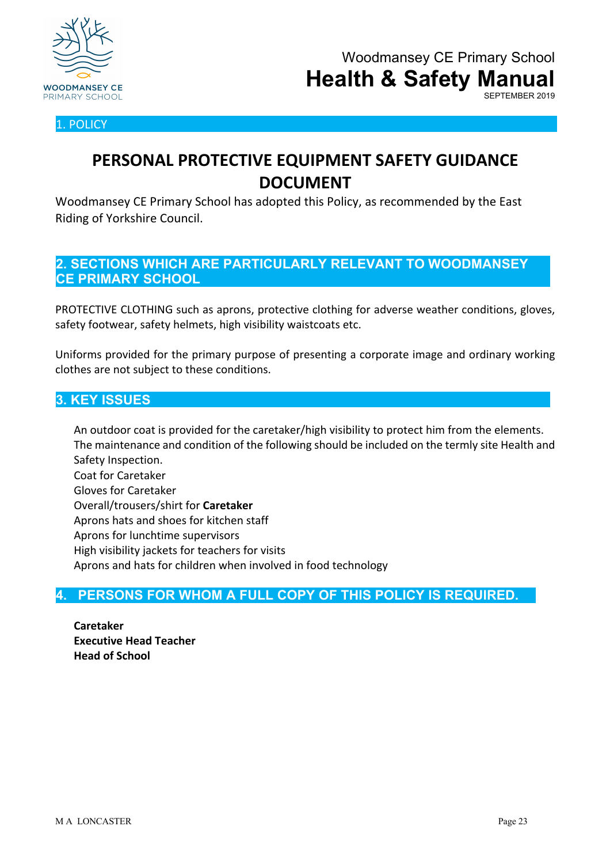

1. POLICY

## **PERSONAL PROTECTIVE EQUIPMENT SAFETY GUIDANCE DOCUMENT**

Woodmansey CE Primary School has adopted this Policy, as recommended by the East Riding of Yorkshire Council.

## **2. SECTIONS WHICH ARE PARTICULARLY RELEVANT TO WOODMANSEY CE PRIMARY SCHOOL**

PROTECTIVE CLOTHING such as aprons, protective clothing for adverse weather conditions, gloves, safety footwear, safety helmets, high visibility waistcoats etc.

Uniforms provided for the primary purpose of presenting a corporate image and ordinary working clothes are not subject to these conditions.

### **3. KEY ISSUES**

An outdoor coat is provided for the caretaker/high visibility to protect him from the elements. The maintenance and condition of the following should be included on the termly site Health and Safety Inspection. Coat for Caretaker Gloves for Caretaker Overall/trousers/shirt for **Caretaker** Aprons hats and shoes for kitchen staff Aprons for lunchtime supervisors High visibility jackets for teachers for visits

Aprons and hats for children when involved in food technology

## **4. PERSONS FOR WHOM A FULL COPY OF THIS POLICY IS REQUIRED.**

**Caretaker Executive Head Teacher Head of School**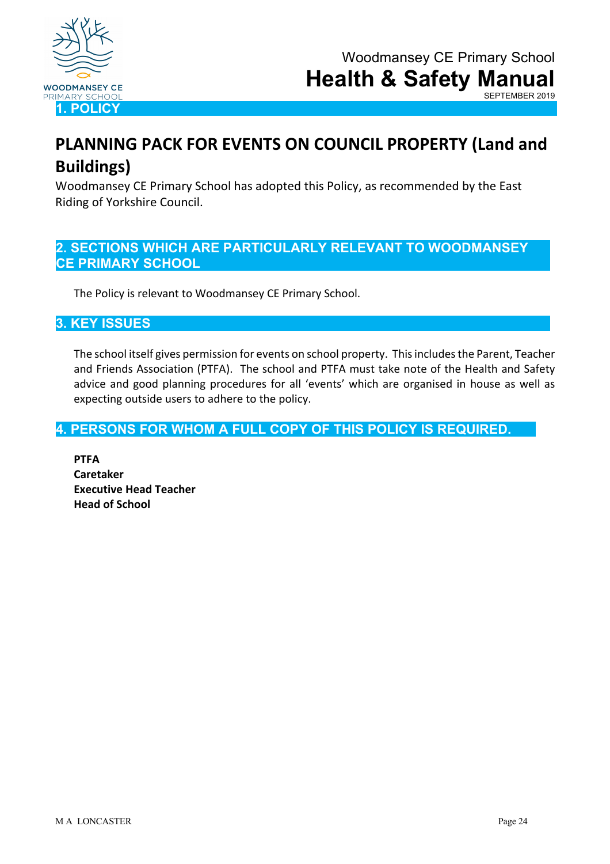

# **PLANNING PACK FOR EVENTS ON COUNCIL PROPERTY (Land and Buildings)**

Woodmansey CE Primary School has adopted this Policy, as recommended by the East Riding of Yorkshire Council.

## **2. SECTIONS WHICH ARE PARTICULARLY RELEVANT TO WOODMANSEY CE PRIMARY SCHOOL**

The Policy is relevant to Woodmansey CE Primary School.

## **3. KEY ISSUES**

The school itself gives permission for events on school property. This includes the Parent, Teacher and Friends Association (PTFA). The school and PTFA must take note of the Health and Safety advice and good planning procedures for all 'events' which are organised in house as well as expecting outside users to adhere to the policy.

## **4. PERSONS FOR WHOM A FULL COPY OF THIS POLICY IS REQUIRED.**

**PTFA Caretaker Executive Head Teacher Head of School**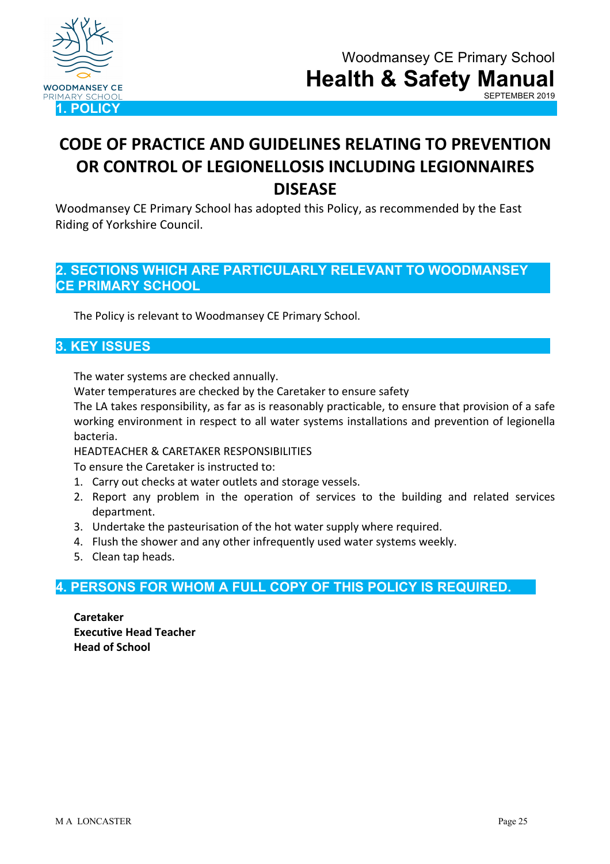

## **CODE OF PRACTICE AND GUIDELINES RELATING TO PREVENTION OR CONTROL OF LEGIONELLOSIS INCLUDING LEGIONNAIRES DISEASE**

Woodmansey CE Primary School has adopted this Policy, as recommended by the East Riding of Yorkshire Council.

## **2. SECTIONS WHICH ARE PARTICULARLY RELEVANT TO WOODMANSEY CE PRIMARY SCHOOL**

The Policy is relevant to Woodmansey CE Primary School.

#### **3. KEY ISSUES**

The water systems are checked annually.

Water temperatures are checked by the Caretaker to ensure safety

The LA takes responsibility, as far as is reasonably practicable, to ensure that provision of a safe working environment in respect to all water systems installations and prevention of legionella bacteria.

HEADTEACHER & CARETAKER RESPONSIBILITIES

To ensure the Caretaker is instructed to:

- 1. Carry out checks at water outlets and storage vessels.
- 2. Report any problem in the operation of services to the building and related services department.
- 3. Undertake the pasteurisation of the hot water supply where required.
- 4. Flush the shower and any other infrequently used water systems weekly.
- 5. Clean tap heads.

## **4. PERSONS FOR WHOM A FULL COPY OF THIS POLICY IS REQUIRED.**

**Caretaker Executive Head Teacher Head of School**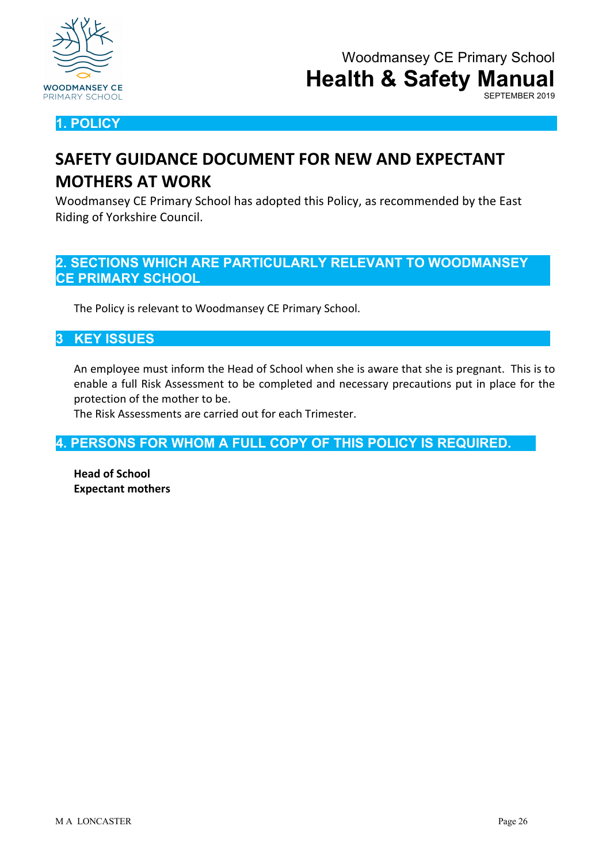

**1. POLICY**

# **SAFETY GUIDANCE DOCUMENT FOR NEW AND EXPECTANT MOTHERS AT WORK**

Woodmansey CE Primary School has adopted this Policy, as recommended by the East Riding of Yorkshire Council.

## **2. SECTIONS WHICH ARE PARTICULARLY RELEVANT TO WOODMANSEY CE PRIMARY SCHOOL**

The Policy is relevant to Woodmansey CE Primary School.

## **3 KEY ISSUES**

An employee must inform the Head of School when she is aware that she is pregnant. This is to enable a full Risk Assessment to be completed and necessary precautions put in place for the protection of the mother to be.

The Risk Assessments are carried out for each Trimester.

**4. PERSONS FOR WHOM A FULL COPY OF THIS POLICY IS REQUIRED.**

**Head of School Expectant mothers**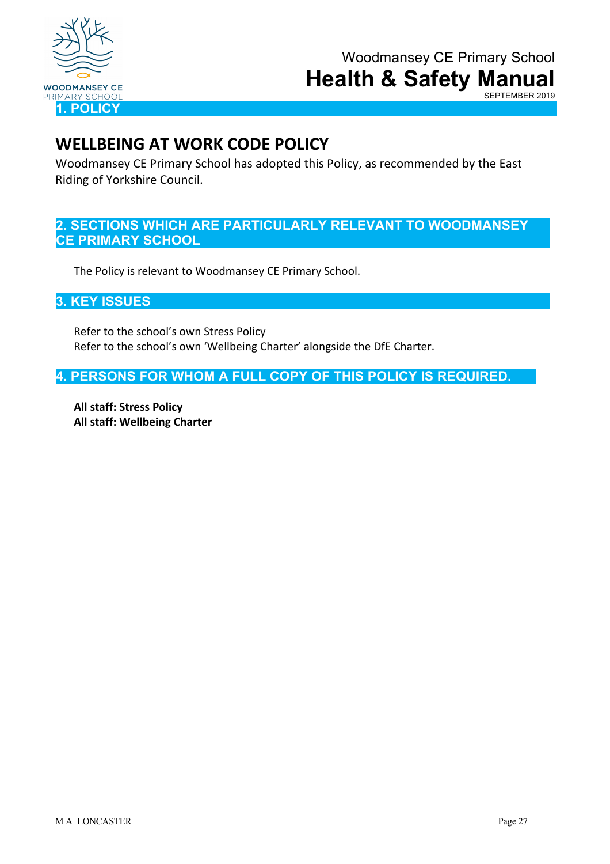

SEPTEMBER 2019

## **WELLBEING AT WORK CODE POLICY**

Woodmansey CE Primary School has adopted this Policy, as recommended by the East Riding of Yorkshire Council.

## **2. SECTIONS WHICH ARE PARTICULARLY RELEVANT TO WOODMANSEY CE PRIMARY SCHOOL**

The Policy is relevant to Woodmansey CE Primary School.

**3. KEY ISSUES**

Refer to the school's own Stress Policy Refer to the school's own 'Wellbeing Charter' alongside the DfE Charter.

**4. PERSONS FOR WHOM A FULL COPY OF THIS POLICY IS REQUIRED.**

**All staff: Stress Policy All staff: Wellbeing Charter**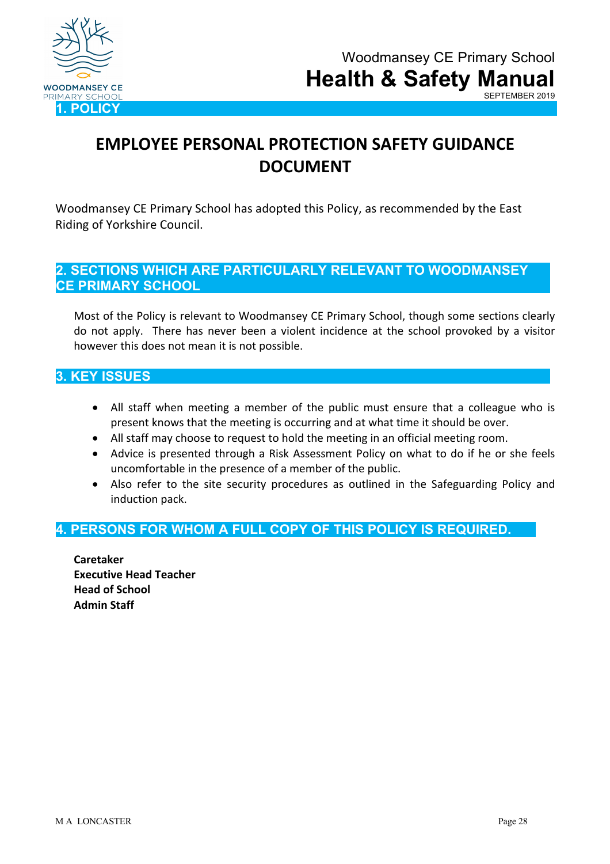

# **EMPLOYEE PERSONAL PROTECTION SAFETY GUIDANCE DOCUMENT**

Woodmansey CE Primary School has adopted this Policy, as recommended by the East Riding of Yorkshire Council.

## **2. SECTIONS WHICH ARE PARTICULARLY RELEVANT TO WOODMANSEY CE PRIMARY SCHOOL**

Most of the Policy is relevant to Woodmansey CE Primary School, though some sections clearly do not apply. There has never been a violent incidence at the school provoked by a visitor however this does not mean it is not possible.

## **3. KEY ISSUES**

- All staff when meeting a member of the public must ensure that a colleague who is present knows that the meeting is occurring and at what time it should be over.
- All staff may choose to request to hold the meeting in an official meeting room.
- Advice is presented through a Risk Assessment Policy on what to do if he or she feels uncomfortable in the presence of a member of the public.
- Also refer to the site security procedures as outlined in the Safeguarding Policy and induction pack.

## **4. PERSONS FOR WHOM A FULL COPY OF THIS POLICY IS REQUIRED.**

**Caretaker Executive Head Teacher Head of School Admin Staff**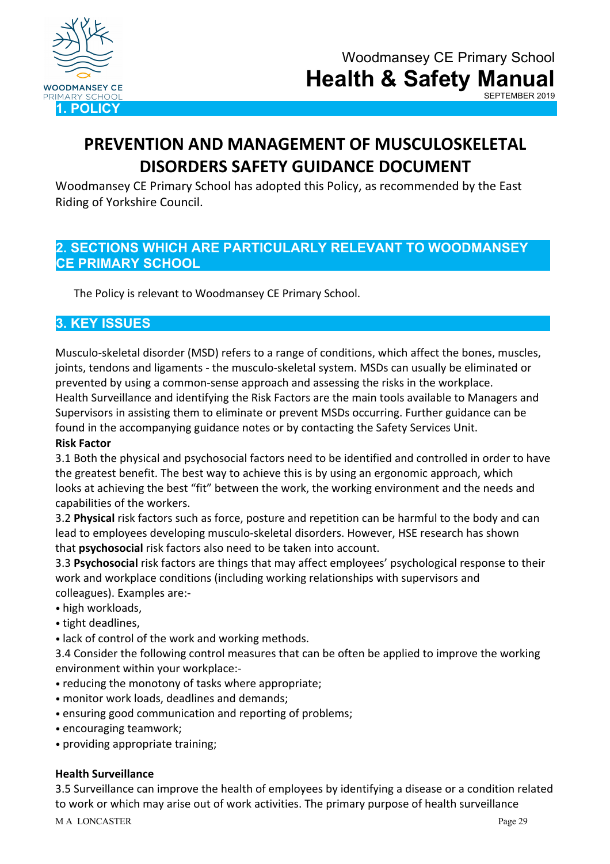

# **PREVENTION AND MANAGEMENT OF MUSCULOSKELETAL DISORDERS SAFETY GUIDANCE DOCUMENT**

Woodmansey CE Primary School has adopted this Policy, as recommended by the East Riding of Yorkshire Council.

## **2. SECTIONS WHICH ARE PARTICULARLY RELEVANT TO WOODMANSEY CE PRIMARY SCHOOL**

The Policy is relevant to Woodmansey CE Primary School.

## **3. KEY ISSUES**

Musculo-skeletal disorder (MSD) refers to a range of conditions, which affect the bones, muscles, joints, tendons and ligaments - the musculo-skeletal system. MSDs can usually be eliminated or prevented by using a common-sense approach and assessing the risks in the workplace. Health Surveillance and identifying the Risk Factors are the main tools available to Managers and Supervisors in assisting them to eliminate or prevent MSDs occurring. Further guidance can be found in the accompanying guidance notes or by contacting the Safety Services Unit.

#### **Risk Factor**

3.1 Both the physical and psychosocial factors need to be identified and controlled in order to have the greatest benefit. The best way to achieve this is by using an ergonomic approach, which looks at achieving the best "fit" between the work, the working environment and the needs and capabilities of the workers.

3.2 **Physical** risk factors such as force, posture and repetition can be harmful to the body and can lead to employees developing musculo-skeletal disorders. However, HSE research has shown that **psychosocial** risk factors also need to be taken into account.

3.3 **Psychosocial** risk factors are things that may affect employees' psychological response to their work and workplace conditions (including working relationships with supervisors and colleagues). Examples are:-

- high workloads,
- tight deadlines,
- lack of control of the work and working methods.

3.4 Consider the following control measures that can be often be applied to improve the working environment within your workplace:-

- reducing the monotony of tasks where appropriate;
- monitor work loads, deadlines and demands;
- ensuring good communication and reporting of problems;
- encouraging teamwork;
- providing appropriate training;

#### **Health Surveillance**

3.5 Surveillance can improve the health of employees by identifying a disease or a condition related to work or which may arise out of work activities. The primary purpose of health surveillance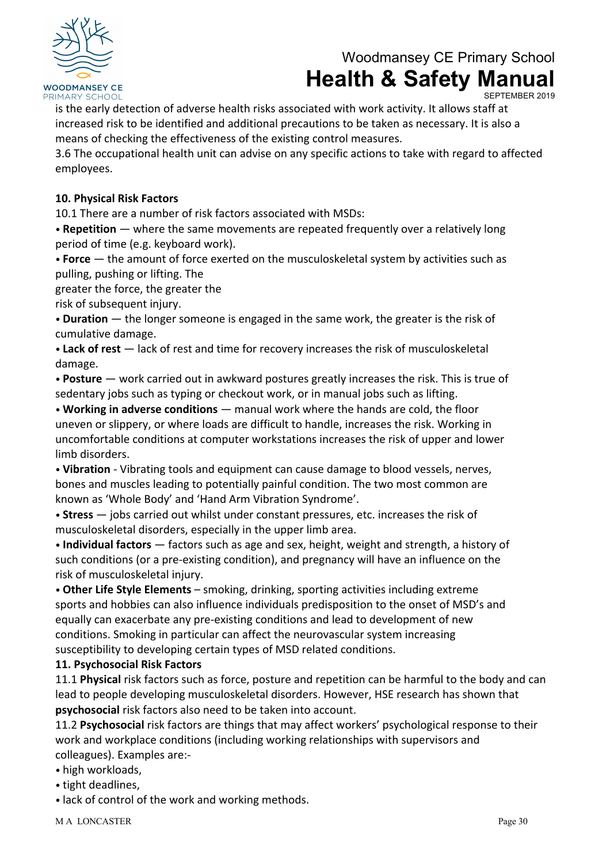

SEPTEMBER 2019

is the early detection of adverse health risks associated with work activity. It allows staff at increased risk to be identified and additional precautions to be taken as necessary. It is also a means of checking the effectiveness of the existing control measures.

3.6 The occupational health unit can advise on any specific actions to take with regard to affected employees.

#### **10. Physical Risk Factors**

10.1 There are a number of risk factors associated with MSDs:

• **Repetition** — where the same movements are repeated frequently over a relatively long period of time (e.g. keyboard work).

• **Force** — the amount of force exerted on the musculoskeletal system by activities such as pulling, pushing or lifting. The

greater the force, the greater the

risk of subsequent injury.

• **Duration** — the longer someone is engaged in the same work, the greater is the risk of cumulative damage.

• **Lack of rest** — lack of rest and time for recovery increases the risk of musculoskeletal damage.

• **Posture** — work carried out in awkward postures greatly increases the risk. This is true of sedentary jobs such as typing or checkout work, or in manual jobs such as lifting.

• **Working in adverse conditions** — manual work where the hands are cold, the floor uneven or slippery, or where loads are difficult to handle, increases the risk. Working in uncomfortable conditions at computer workstations increases the risk of upper and lower limb disorders.

• **Vibration** - Vibrating tools and equipment can cause damage to blood vessels, nerves, bones and muscles leading to potentially painful condition. The two most common are known as 'Whole Body' and 'Hand Arm Vibration Syndrome'.

• **Stress** — jobs carried out whilst under constant pressures, etc. increases the risk of musculoskeletal disorders, especially in the upper limb area.

• **Individual factors** — factors such as age and sex, height, weight and strength, a history of such conditions (or a pre-existing condition), and pregnancy will have an influence on the risk of musculoskeletal injury.

• **Other Life Style Elements** – smoking, drinking, sporting activities including extreme sports and hobbies can also influence individuals predisposition to the onset of MSD's and equally can exacerbate any pre-existing conditions and lead to development of new conditions. Smoking in particular can affect the neurovascular system increasing susceptibility to developing certain types of MSD related conditions.

#### **11. Psychosocial Risk Factors**

11.1 **Physical** risk factors such as force, posture and repetition can be harmful to the body and can lead to people developing musculoskeletal disorders. However, HSE research has shown that **psychosocial** risk factors also need to be taken into account.

11.2 **Psychosocial** risk factors are things that may affect workers' psychological response to their work and workplace conditions (including working relationships with supervisors and colleagues). Examples are:-

- high workloads,
- tight deadlines,
- lack of control of the work and working methods.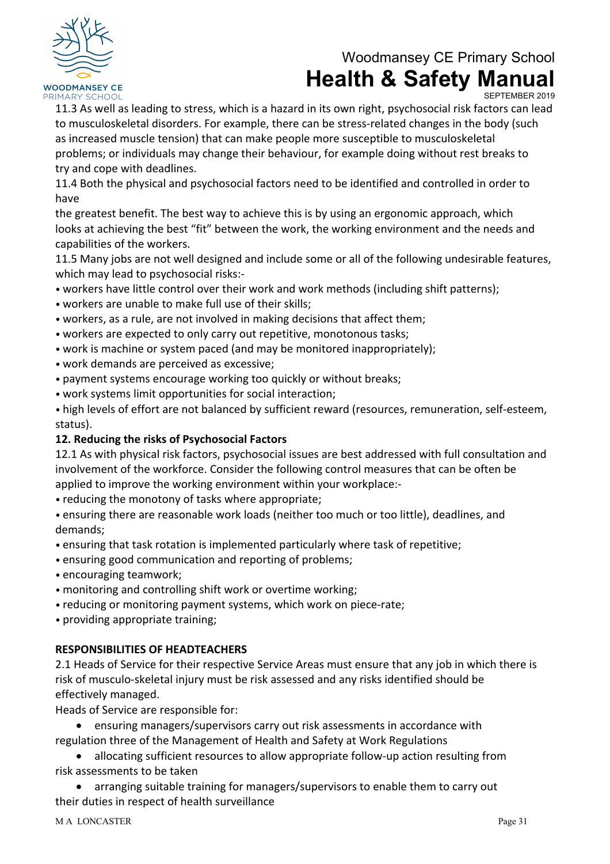

SEPTEMBER 2019

11.3 As well as leading to stress, which is a hazard in its own right, psychosocial risk factors can lead to musculoskeletal disorders. For example, there can be stress-related changes in the body (such as increased muscle tension) that can make people more susceptible to musculoskeletal problems; or individuals may change their behaviour, for example doing without rest breaks to try and cope with deadlines.

11.4 Both the physical and psychosocial factors need to be identified and controlled in order to have

the greatest benefit. The best way to achieve this is by using an ergonomic approach, which looks at achieving the best "fit" between the work, the working environment and the needs and capabilities of the workers.

11.5 Many jobs are not well designed and include some or all of the following undesirable features, which may lead to psychosocial risks:-

- workers have little control over their work and work methods (including shift patterns);
- workers are unable to make full use of their skills;
- workers, as a rule, are not involved in making decisions that affect them;
- workers are expected to only carry out repetitive, monotonous tasks;
- work is machine or system paced (and may be monitored inappropriately);
- work demands are perceived as excessive;
- payment systems encourage working too quickly or without breaks;
- work systems limit opportunities for social interaction;

• high levels of effort are not balanced by sufficient reward (resources, remuneration, self-esteem, status).

#### **12. Reducing the risks of Psychosocial Factors**

12.1 As with physical risk factors, psychosocial issues are best addressed with full consultation and involvement of the workforce. Consider the following control measures that can be often be applied to improve the working environment within your workplace:-

- reducing the monotony of tasks where appropriate;
- ensuring there are reasonable work loads (neither too much or too little), deadlines, and demands;
- ensuring that task rotation is implemented particularly where task of repetitive;
- ensuring good communication and reporting of problems;
- encouraging teamwork;
- monitoring and controlling shift work or overtime working;
- reducing or monitoring payment systems, which work on piece-rate;
- providing appropriate training;

#### **RESPONSIBILITIES OF HEADTEACHERS**

2.1 Heads of Service for their respective Service Areas must ensure that any job in which there is risk of musculo-skeletal injury must be risk assessed and any risks identified should be effectively managed.

Heads of Service are responsible for:

• ensuring managers/supervisors carry out risk assessments in accordance with regulation three of the Management of Health and Safety at Work Regulations

• allocating sufficient resources to allow appropriate follow-up action resulting from risk assessments to be taken

• arranging suitable training for managers/supervisors to enable them to carry out their duties in respect of health surveillance